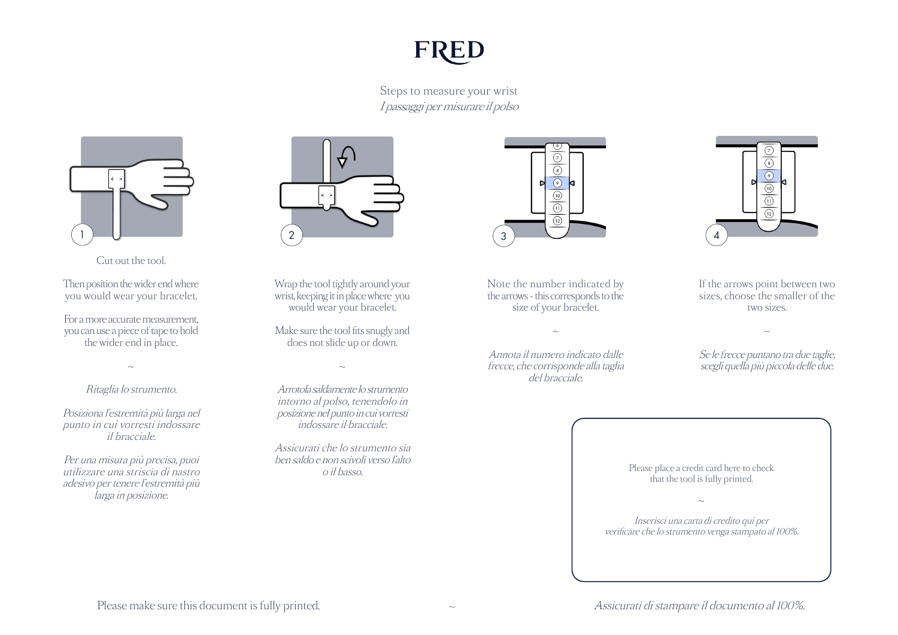## **FRED**

Steps to measure your wrist I passaggi per misurare il polso



Cut out the tool.

Then position the wider end where you would wear your bracelet. 3

For a more accurate measurement, you can use a piece of tape to hold 4 the wider end in place.

~

## Ritaglia lo strumento.

Posiziona l'estremità più larga nel punto in cui vorresti indossare il bracciale.

Per una misura più precisa, puoi utilizzare una striscia di nastro adesivo per tenere l'estremità più larga in posizione.



Wrap the tool tightly around your wrist, keeping it in place where you st, keeping it in place where<br>would wear your bracelet.

Make sure the tool fits snugly and does not slide up or down.

 $\sim$ 

Arrotola saldamente lo strumento intorno al polso, tenendolo in posizione nel punto in cui vorresti indossare il bracciale.

Assicurati che lo strumento sia ben saldo e non scivoli verso l'alto o il basso.



Note the number indicated by the arrows - this corresponds to the size of your bracelet.

Annota il numero indicato dalle frecce, che corrisponde alla taglia del bracciale.

 $\sim$ 



If the arrows point between two sizes, choose the smaller of the two sizes.

Se le frecce puntano tra due taglie, scegli quella più piccola delle due.

 $\sim$ 

Please place a credit card here to check that the tool is fully printed.  $\sim$ Inserisci una carta di credito qui per verificare che lo strumento venga stampato al 100%.